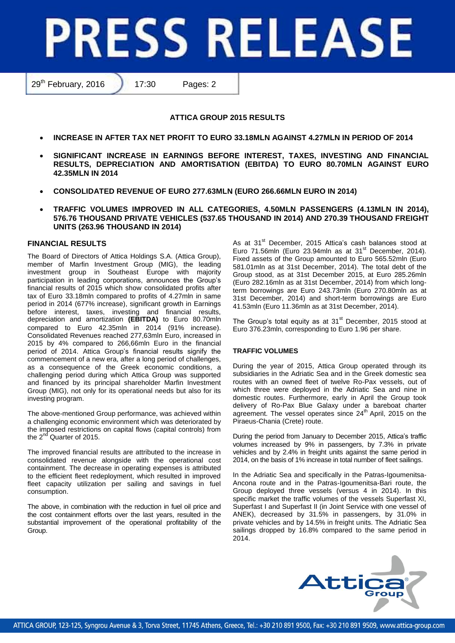# **PRESS RELEASE**

29<sup>th</sup> February, 2016 17:30 Pages: 2

# **ATTICA GROUP 2015 RESULTS**

- **INCREASE IN AFTER TAX NET PROFIT TO EURO 33.18MLN AGAINST 4.27MLN IN PERIOD OF 2014**
- **SIGNIFICANT INCREASE IN EARNINGS BEFORE INTEREST, TAXES, INVESTING AND FINANCIAL RESULTS, DEPRECIATION AND AMORTISATION (EBITDA) TO EURO 80.70MLN AGAINST EURO 42.35MLN IN 2014**
- **CONSOLIDATED REVENUE OF EURO 277.63MLN (EURO 266.66MLN EURO IN 2014)**
- **TRAFFIC VOLUMES IMPROVED IN ALL CATEGORIES, 4.50MLN PASSENGERS (4.13MLN IN 2014), 576.76 THOUSAND PRIVATE VEHICLES (537.65 THOUSAND IN 2014) AND 270.39 THOUSAND FREIGHT UNITS (263.96 THOUSAND IN 2014)**

# **FINANCIAL RESULTS**

The Board of Directors of Attica Holdings S.A. (Attica Group), member of Marfin Investment Group (MIG), the leading investment group in Southeast Europe with majority participation in leading corporations, announces the Group's financial results of 2015 which show consolidated profits after tax of Euro 33.18mln compared to profits of 4.27mln in same period in 2014 (677% increase), significant growth in Earnings before interest, taxes, investing and financial results, depreciation and amortization **(EBITDA)** to Euro 80.70mln compared to Euro 42.35mln in 2014 (91% increase). Consolidated Revenues reached 277,63mln Euro, increased in 2015 by 4% compared to 266,66mln Euro in the financial period of 2014. Attica Group's financial results signify the commencement of a new era, after a long period of challenges, as a consequence of the Greek economic conditions, a challenging period during which Attica Group was supported and financed by its principal shareholder Marfin Investment Group (MIG), not only for its operational needs but also for its investing program.

The above-mentioned Group performance, was achieved within a challenging economic environment which was deteriorated by the imposed restrictions on capital flows (capital controls) from the  $2^{nd}$  Quarter of 2015.

The improved financial results are attributed to the increase in consolidated revenue alongside with the operational cost containment. The decrease in operating expenses is attributed to the efficient fleet redeployment, which resulted in improved fleet capacity utilization per sailing and savings in fuel consumption.

The above, in combination with the reduction in fuel oil price and the cost containment efforts over the last years, resulted in the substantial improvement of the operational profitability of the Group.

As at 31<sup>st</sup> December, 2015 Attica's cash balances stood at Euro 71.56mln (Euro 23.94mln as at  $31<sup>st</sup>$  December, 2014). Fixed assets of the Group amounted to Euro 565.52mln (Euro 581.01mln as at 31st December, 2014). The total debt of the Group stood, as at 31st December 2015, at Euro 285.26mln (Euro 282.16mln as at 31st December, 2014) from which longterm borrowings are Euro 243.73mln (Euro 270.80mln as at 31st December, 2014) and short-term borrowings are Euro 41.53mln (Euro 11.36mln as at 31st December, 2014).

The Group's total equity as at  $31<sup>st</sup>$  December, 2015 stood at Euro 376.23mln, corresponding to Euro 1.96 per share.

## **TRAFFIC VOLUMES**

During the year of 2015, Attica Group operated through its subsidiaries in the Adriatic Sea and in the Greek domestic sea routes with an owned fleet of twelve Ro-Pax vessels, out of which three were deployed in the Adriatic Sea and nine in domestic routes. Furthermore, early in April the Group took delivery of Ro-Pax Blue Galaxy under a bareboat charter agreement. The vessel operates since  $24<sup>th</sup>$  April, 2015 on the Piraeus-Chania (Crete) route.

During the period from January to December 2015, Attica's traffic volumes increased by 9% in passengers, by 7.3% in private vehicles and by 2.4% in freight units against the same period in 2014, on the basis of 1% increase in total number of fleet sailings.

In the Adriatic Sea and specifically in the Patras-Igoumenitsa-Ancona route and in the Patras-Igoumenitsa-Bari route, the Group deployed three vessels (versus 4 in 2014). In this specific market the traffic volumes of the vessels Superfast XI, Superfast I and Superfast II (in Joint Service with one vessel of ANEK), decreased by 31.5% in passengers, by 31.0% in private vehicles and by 14.5% in freight units. The Adriatic Sea sailings dropped by 16.8% compared to the same period in 2014.